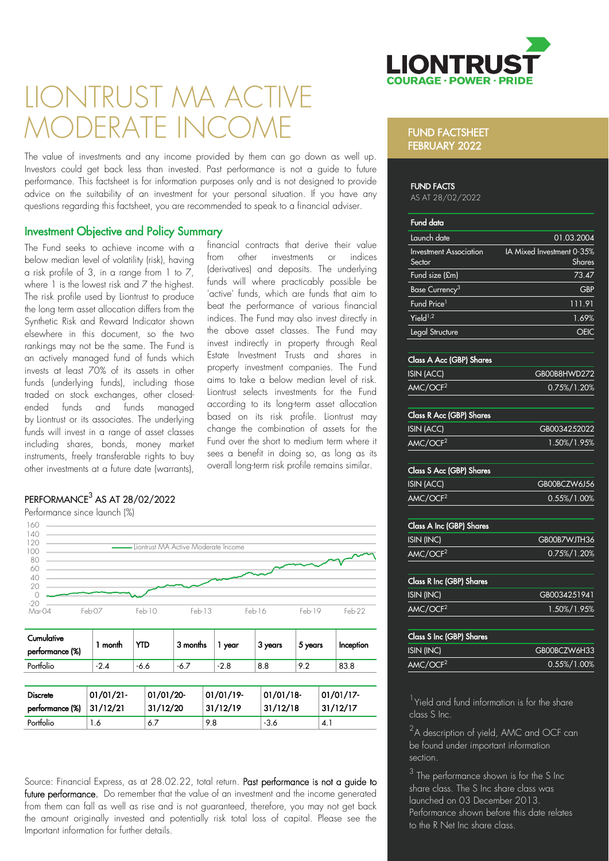

# LIONTRUST MA ACTI MODERATE INCOME

The value of investments and any income provided by them can go down as well up. Investors could get back less than invested. Past performance is not a guide to future performance. This factsheet is for information purposes only and is not designed to provide advice on the suitability of an investment for your personal situation. If you have any questions regarding this factsheet, you are recommended to speak to a financial adviser.

> financial contracts that derive their value from other investments or indices (derivatives) and deposits. The underlying funds will where practicably possible be 'active' funds, which are funds that aim to beat the performance of various financial indices. The Fund may also invest directly in the above asset classes. The Fund may invest indirectly in property through Real Estate Investment Trusts and shares in property investment companies. The Fund aims to take a below median level of risk. Liontrust selects investments for the Fund according to its long-term asset allocation based on its risk profile. Liontrust may change the combination of assets for the Fund over the short to medium term where it sees a benefit in doing so, as long as its overall long-term risk profile remains similar.

#### Investment Objective and Policy Summary

The Fund seeks to achieve income with a below median level of volatility (risk), having a risk profile of 3, in a range from  $1$  to  $7$ , where 1 is the lowest risk and 7 the highest. The risk profile used by Liontrust to produce the long term asset allocation differs from the Synthetic Risk and Reward Indicator shown elsewhere in this document, so the two rankings may not be the same. The Fund is an actively managed fund of funds which invests at least 70% of its assets in other funds (underlying funds), including those traded on stock exchanges, other closedended funds and funds managed by Liontrust or its associates. The underlying funds will invest in a range of asset classes including shares, bonds, money market instruments, freely transferable rights to buy other investments at a future date (warrants),

### $\mathsf{PERFORMANCE}^3$  AS AT 28/02/2022

Performance since launch (%)



| Cumulative<br>performance (%)      | month                | <b>YTD</b>            | 3 months | year                  | 3 years                  | 5 years | Inception             |
|------------------------------------|----------------------|-----------------------|----------|-----------------------|--------------------------|---------|-----------------------|
| Portfolio                          | $-2.4$               | $-6.6$                | $-6.7$   | $-2.8$                | 8.8                      | 9.2     | 83.8                  |
|                                    |                      |                       |          |                       |                          |         |                       |
| <b>Discrete</b><br>performance (%) | 01/01/21<br>31/12/21 | 01/01/20-<br>31/12/20 |          | 01/01/19-<br>31/12/19 | $01/01/18$ -<br>31/12/18 |         | 01/01/17-<br>31/12/17 |
| Portfolio                          | 1.6                  | 6.7                   | 9.8      |                       | $-3.6$                   | 4.1     |                       |

Source: Financial Express, as at 28.02.22, total return. Past performance is not a guide to future performance. Do remember that the value of an investment and the income generated from them can fall as well as rise and is not guaranteed, therefore, you may not get back the amount originally invested and potentially risk total loss of capital. Please see the Important information for further details.

#### FUND FACTSHEET FEBRUARY 2022

#### FUND FACTS

AS AT 28/02/2022

| <b>Fund data</b>                        |                                     |
|-----------------------------------------|-------------------------------------|
| Launch date                             | 01.03.2004                          |
| <b>Investment Association</b><br>Sector | IA Mixed Investment 0-35%<br>Shares |
| Fund size (£m)                          | 73.47                               |
| Base Currency <sup>3</sup>              | <b>GBP</b>                          |
| Fund Price <sup>1</sup>                 | 111.91                              |
| Yield $1,2$                             | 1.69%                               |
| Legal Structure                         |                                     |
|                                         |                                     |

#### Class A Acc (GBP) Share

| ISIN (ACC)           | GB00B8HWD272    |
|----------------------|-----------------|
| AMC/OCF <sup>2</sup> | $0.75\%/1.20\%$ |

#### Class R Acc (GBP) Shares

| ISIN (ACC)           | GB0034252022 |
|----------------------|--------------|
| AMC/OCF <sup>2</sup> | 1.50%/1.95%  |

#### Class S Acc (GBP) Shares

| ISIN (ACC)           | GB00BCZW6J56    |
|----------------------|-----------------|
| AMC/OCF <sup>2</sup> | $0.55\%/1.00\%$ |

#### Class A Inc (GBP) Shares ISIN (INC) GB00B7WJTH36

| וטווא ווועו          | <b>ODUUD/ YYJINJO</b> |
|----------------------|-----------------------|
| AMC/OCF <sup>2</sup> | 0.75%/1.20%           |
|                      |                       |

| <b>Class R Inc (GBP) Shares</b> |              |
|---------------------------------|--------------|
| ISIN (INC)                      | GB0034251941 |
| AMC/OCF <sup>2</sup>            | 1.50%/1.95%  |

| Class S Inc (GBP) Shares |                 |
|--------------------------|-----------------|
| ISIN (INC)               | GB00BCZW6H33    |
| AMC/OCF <sup>2</sup>     | $0.55\%/1.00\%$ |

<sup>1</sup>Yield and fund information is for the share class S Inc.

 $2A$  description of yield, AMC and OCF can be found under important information section.

 $3$  The performance shown is for the S Inc share class. The S Inc share class was launched on 03 December 2013. Performance shown before this date relates to the R Net Inc share class.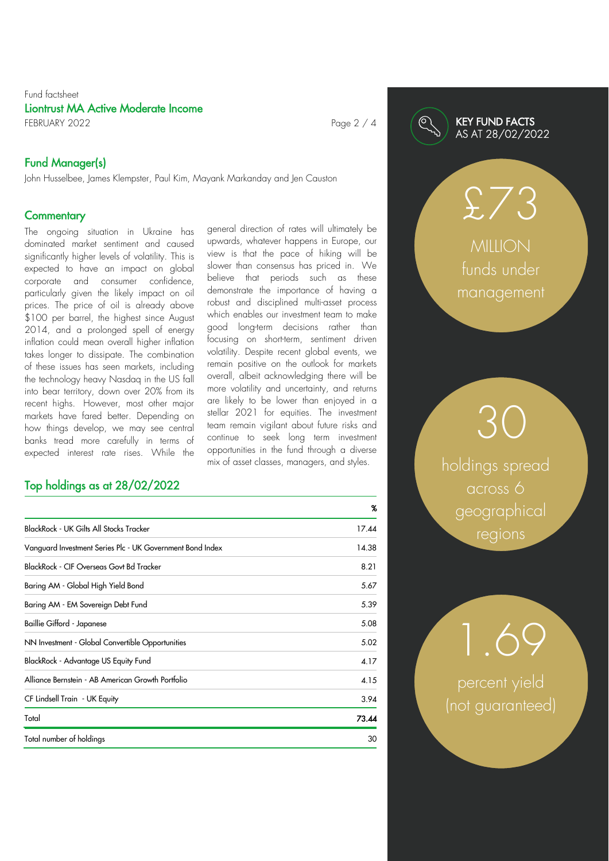#### Fund factsheet Liontrust MA Active Moderate Income FEBRUARY 2022 Page 2 / 4

### Fund Manager(s)

John Husselbee, James Klempster, Paul Kim, Mayank Markanday and Jen Causton

#### **Commentary**

The ongoing situation in Ukraine has dominated market sentiment and caused significantly higher levels of volatility. This is expected to have an impact on global corporate and consumer confidence, particularly given the likely impact on oil prices. The price of oil is already above \$100 per barrel, the highest since August 2014, and a prolonged spell of energy inflation could mean overall higher inflation takes longer to dissipate. The combination of these issues has seen markets, including the technology heavy Nasdaq in the US fall into bear territory, down over 20% from its recent highs. However, most other major markets have fared better. Depending on how things develop, we may see central banks tread more carefully in terms of expected interest rate rises. While the

### Top holdings as at 28/02/2022

general direction of rates will ultimately be upwards, whatever happens in Europe, our view is that the pace of hiking will be slower than consensus has priced in. We believe that periods such as these demonstrate the importance of having a robust and disciplined multi-asset process which enables our investment team to make good long-term decisions rather than focusing on short-term, sentiment driven volatility. Despite recent global events, we remain positive on the outlook for markets overall, albeit acknowledging there will be more volatility and uncertainty, and returns are likely to be lower than enjoyed in a stellar 2021 for equities. The investment team remain vigilant about future risks and continue to seek long term investment opportunities in the fund through a diverse mix of asset classes, managers, and styles.

|                                                           | X     |
|-----------------------------------------------------------|-------|
| BlackRock - UK Gilts All Stocks Tracker                   | 17.44 |
| Vanguard Investment Series Plc - UK Government Bond Index | 14.38 |
| BlackRock - CIF Overseas Govt Bd Tracker                  | 8.21  |
| Baring AM - Global High Yield Bond                        | 5.67  |
| Baring AM - EM Sovereign Debt Fund                        | 5.39  |
| Baillie Gifford - Japanese                                | 5.08  |
| NN Investment - Global Convertible Opportunities          | 5.02  |
| BlackRock - Advantage US Equity Fund                      | 4.17  |
| Alliance Bernstein - AB American Growth Portfolio         | 4.15  |
| CF Lindsell Train - UK Equity                             | 3.94  |
| Total                                                     | 73.44 |
| Total number of holdings                                  | 30    |

#### KEY FUND FACTS AS AT 28/02/2022

 $£/3$ **MILLION** 

funds under management

holdings spread across 6 geographical regions

30

percent yield (not guaranteed)

1.69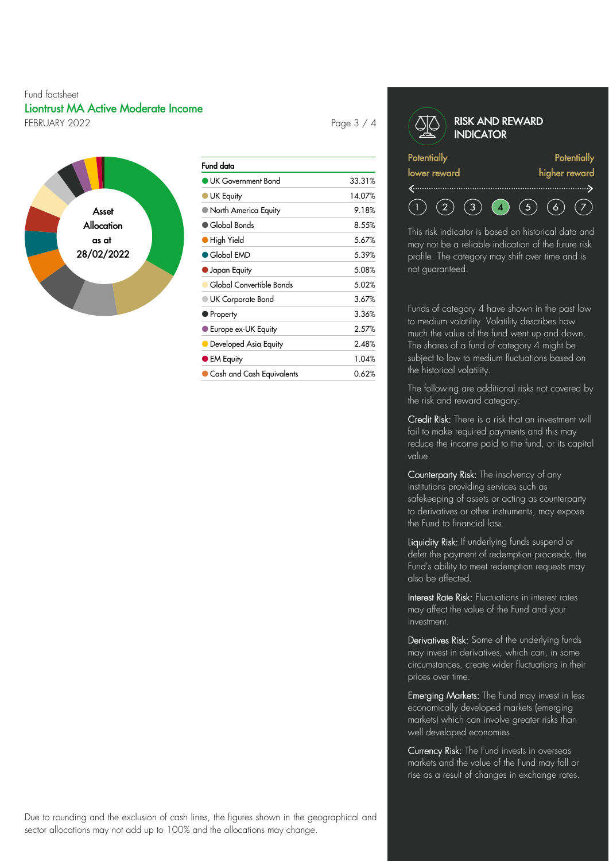#### Fund factsheet Liontrust MA Active Moderate Income FEBRUARY 2022 **Page 3 / 4**



| Fund data                   |        |
|-----------------------------|--------|
| UK Government Bond          | 33.31% |
| UK Equity                   | 14.07% |
| ) North America Equity      | 9.18%  |
| $\blacksquare$ Global Bonds | 8.55%  |
| High Yield                  | 5.67%  |
| $\bullet$ Global EMD        | 5.39%  |
| Japan Equity                | 5.08%  |
| Global Convertible Bonds    | 5.02%  |
| <b>UK Corporate Bond</b>    | 3.67%  |
| $\blacksquare$ Property     | 3.36%  |
| ● Europe ex-UK Equity       | 2.57%  |
| Developed Asia Equity       | 2.48%  |
| <b>EM Equity</b>            | 1.04%  |
| Cash and Cash Equivalents   | 0 62%  |

#### RISK AND REWARD **INDICATOR Potentially Potentially** lower reward higher reward  $(5)$  $(2)$  $(3)$   $(4)$  $(6)$  $(7)$

This risk indicator is based on historical data and may not be a reliable indication of the future risk profile. The category may shift over time and is not guaranteed.

Funds of category 4 have shown in the past low to medium volatility. Volatility describes how much the value of the fund went up and down. The shares of a fund of category 4 might be subject to low to medium fluctuations based on the historical volatility.

The following are additional risks not covered by the risk and reward category:

Credit Risk: There is a risk that an investment will fail to make required payments and this may reduce the income paid to the fund, or its capital value.

Counterparty Risk: The insolvency of any institutions providing services such as safekeeping of assets or acting as counterparty to derivatives or other instruments, may expose the Fund to financial loss.

Liquidity Risk: If underlying funds suspend or defer the payment of redemption proceeds, the Fund's ability to meet redemption requests may also be affected.

Interest Rate Risk: Fluctuations in interest rates may affect the value of the Fund and your investment.

Derivatives Risk: Some of the underlying funds may invest in derivatives, which can, in some circumstances, create wider fluctuations in their prices over time.

Emerging Markets: The Fund may invest in less economically developed markets (emerging markets) which can involve greater risks than well developed economies.

Currency Risk: The Fund invests in overseas markets and the value of the Fund may fall or rise as a result of changes in exchange rates.

Due to rounding and the exclusion of cash lines, the figures shown in the geographical and sector allocations may not add up to 100% and the allocations may change.